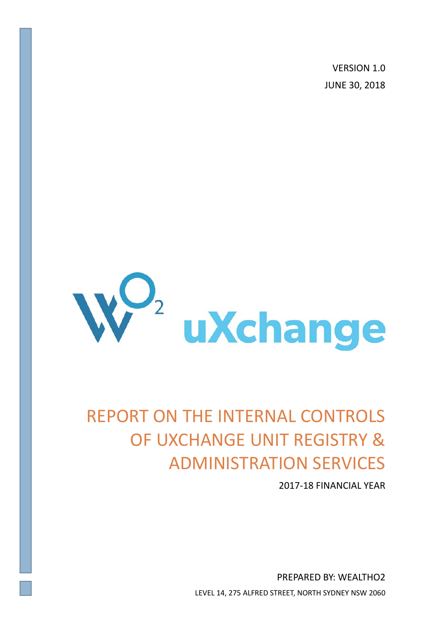VERSION 1.0 JUNE 30, 2018



# REPORT ON THE INTERNAL CONTROLS OF UXCHANGE UNIT REGISTRY & ADMINISTRATION SERVICES

2017-18 FINANCIAL YEAR

PREPARED BY: WEALTHO2 LEVEL 14, 275 ALFRED STREET, NORTH SYDNEY NSW 2060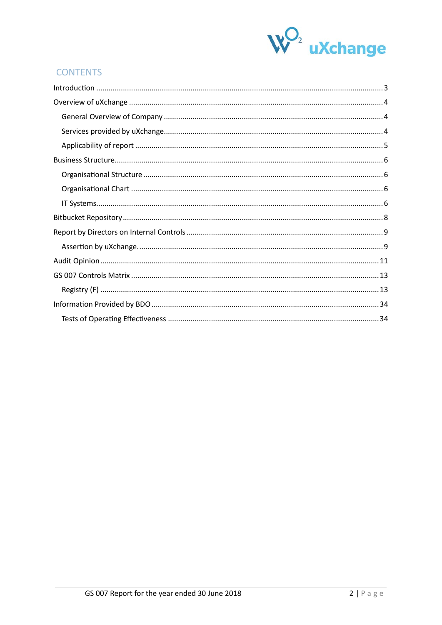

# **CONTENTS**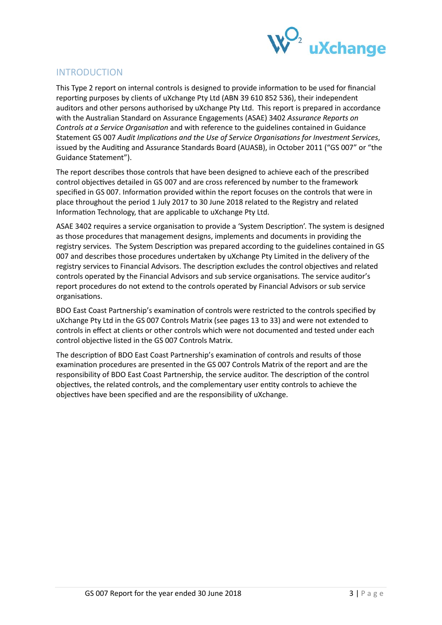

# <span id="page-2-0"></span>INTRODUCTION

This Type 2 report on internal controls is designed to provide information to be used for financial reporting purposes by clients of uXchange Pty Ltd (ABN 39 610 852 536), their independent auditors and other persons authorised by uXchange Pty Ltd. This report is prepared in accordance with the Australian Standard on Assurance Engagements (ASAE) 3402 *Assurance Reports on Controls at a Service Organisation* and with reference to the guidelines contained in Guidance Statement GS 007 *Audit Implications and the Use of Service Organisations for Investment Services*, issued by the Auditing and Assurance Standards Board (AUASB), in October 2011 ("GS 007" or "the Guidance Statement").

The report describes those controls that have been designed to achieve each of the prescribed control objectives detailed in GS 007 and are cross referenced by number to the framework specified in GS 007. Information provided within the report focuses on the controls that were in place throughout the period 1 July 2017 to 30 June 2018 related to the Registry and related Information Technology, that are applicable to uXchange Pty Ltd.

ASAE 3402 requires a service organisation to provide a 'System Description'. The system is designed as those procedures that management designs, implements and documents in providing the registry services. The System Description was prepared according to the guidelines contained in GS 007 and describes those procedures undertaken by uXchange Pty Limited in the delivery of the registry services to Financial Advisors. The description excludes the control objectives and related controls operated by the Financial Advisors and sub service organisations. The service auditor's report procedures do not extend to the controls operated by Financial Advisors or sub service organisations.

BDO East Coast Partnership's examination of controls were restricted to the controls specified by uXchange Pty Ltd in the GS 007 Controls Matrix (see pages 13 to 33) and were not extended to controls in effect at clients or other controls which were not documented and tested under each control objective listed in the GS 007 Controls Matrix.

The description of BDO East Coast Partnership's examination of controls and results of those examination procedures are presented in the GS 007 Controls Matrix of the report and are the responsibility of BDO East Coast Partnership, the service auditor. The description of the control objectives, the related controls, and the complementary user entity controls to achieve the objectives have been specified and are the responsibility of uXchange.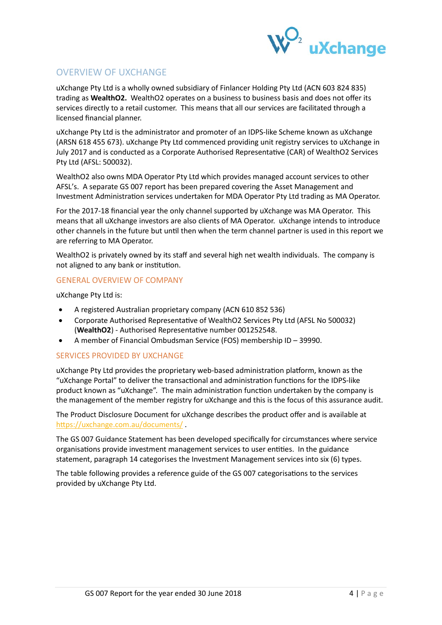

# <span id="page-3-0"></span>OVERVIEW OF UXCHANGE

uXchange Pty Ltd is a wholly owned subsidiary of Finlancer Holding Pty Ltd (ACN 603 824 835) trading as **WealthO2.** WealthO2 operates on a business to business basis and does not offer its services directly to a retail customer. This means that all our services are facilitated through a licensed financial planner.

uXchange Pty Ltd is the administrator and promoter of an IDPS-like Scheme known as uXchange (ARSN 618 455 673). uXchange Pty Ltd commenced providing unit registry services to uXchange in July 2017 and is conducted as a Corporate Authorised Representative (CAR) of WealthO2 Services Pty Ltd (AFSL: 500032).

WealthO2 also owns MDA Operator Pty Ltd which provides managed account services to other AFSL's. A separate GS 007 report has been prepared covering the Asset Management and Investment Administration services undertaken for MDA Operator Pty Ltd trading as MA Operator.

For the 2017-18 financial year the only channel supported by uXchange was MA Operator. This means that all uXchange investors are also clients of MA Operator. uXchange intends to introduce other channels in the future but until then when the term channel partner is used in this report we are referring to MA Operator.

WealthO2 is privately owned by its staff and several high net wealth individuals. The company is not aligned to any bank or institution.

## <span id="page-3-1"></span>GENERAL OVERVIEW OF COMPANY

uXchange Pty Ltd is:

- A registered Australian proprietary company (ACN 610 852 536)
- Corporate Authorised Representative of WealthO2 Services Pty Ltd (AFSL No 500032) (**WealthO2**) - Authorised Representative number 001252548.
- A member of Financial Ombudsman Service (FOS) membership ID 39990.

## <span id="page-3-2"></span>SERVICES PROVIDED BY UXCHANGE

uXchange Pty Ltd provides the proprietary web-based administration platform, known as the "uXchange Portal" to deliver the transactional and administration functions for the IDPS-like product known as "uXchange". The main administration function undertaken by the company is the management of the member registry for uXchange and this is the focus of this assurance audit.

The Product Disclosure Document for uXchange describes the product offer and is available at <https://uxchange.com.au/documents/> .

The GS 007 Guidance Statement has been developed specifically for circumstances where service organisations provide investment management services to user entities. In the guidance statement, paragraph 14 categorises the Investment Management services into six (6) types.

The table following provides a reference guide of the GS 007 categorisations to the services provided by uXchange Pty Ltd.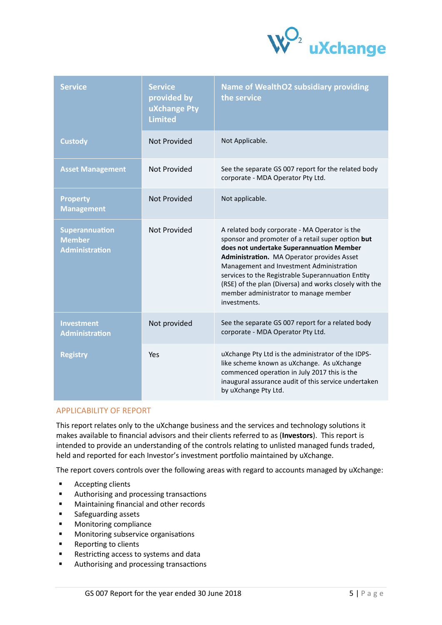

| <b>Service</b>                                           | <b>Service</b><br>provided by<br>uXchange Pty<br><b>Limited</b> | <b>Name of WealthO2 subsidiary providing</b><br>the service                                                                                                                                                                                                                                                                                                                                                      |
|----------------------------------------------------------|-----------------------------------------------------------------|------------------------------------------------------------------------------------------------------------------------------------------------------------------------------------------------------------------------------------------------------------------------------------------------------------------------------------------------------------------------------------------------------------------|
| <b>Custody</b>                                           | <b>Not Provided</b>                                             | Not Applicable.                                                                                                                                                                                                                                                                                                                                                                                                  |
| <b>Asset Management</b>                                  | <b>Not Provided</b>                                             | See the separate GS 007 report for the related body<br>corporate - MDA Operator Pty Ltd.                                                                                                                                                                                                                                                                                                                         |
| <b>Property</b><br><b>Management</b>                     | Not Provided                                                    | Not applicable.                                                                                                                                                                                                                                                                                                                                                                                                  |
| Superannuation<br><b>Member</b><br><b>Administration</b> | Not Provided                                                    | A related body corporate - MA Operator is the<br>sponsor and promoter of a retail super option but<br>does not undertake Superannuation Member<br>Administration. MA Operator provides Asset<br>Management and Investment Administration<br>services to the Registrable Superannuation Entity<br>(RSE) of the plan (Diversa) and works closely with the<br>member administrator to manage member<br>investments. |
| <b>Investment</b><br><b>Administration</b>               | Not provided                                                    | See the separate GS 007 report for a related body<br>corporate - MDA Operator Pty Ltd.                                                                                                                                                                                                                                                                                                                           |
| <b>Registry</b>                                          | Yes                                                             | uXchange Pty Ltd is the administrator of the IDPS-<br>like scheme known as uXchange. As uXchange<br>commenced operation in July 2017 this is the<br>inaugural assurance audit of this service undertaken<br>by uXchange Pty Ltd.                                                                                                                                                                                 |

## <span id="page-4-0"></span>APPLICABILITY OF REPORT

This report relates only to the uXchange business and the services and technology solutions it makes available to financial advisors and their clients referred to as (**Investors**). This report is intended to provide an understanding of the controls relating to unlisted managed funds traded, held and reported for each Investor's investment portfolio maintained by uXchange.

The report covers controls over the following areas with regard to accounts managed by uXchange:

- **Accepting clients**
- **Authorising and processing transactions**
- **Maintaining financial and other records**
- **Safeguarding assets**
- **Monitoring compliance**
- **Monitoring subservice organisations**
- **Reporting to clients**
- Restricting access to systems and data
- **Authorising and processing transactions**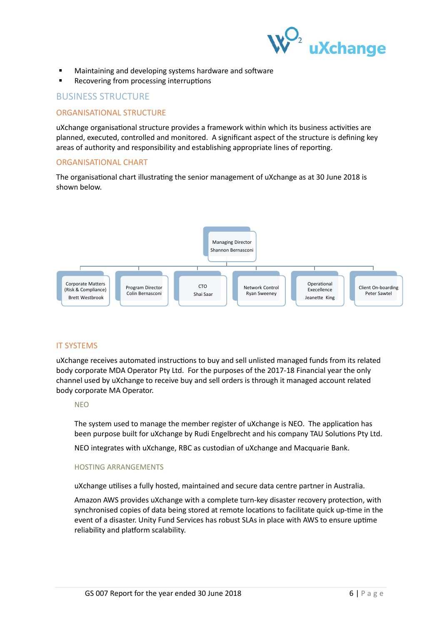

- Maintaining and developing systems hardware and software
- Recovering from processing interruptions

## <span id="page-5-0"></span>BUSINESS STRUCTURE

## <span id="page-5-1"></span>ORGANISATIONAL STRUCTURE

uXchange organisational structure provides a framework within which its business activities are planned, executed, controlled and monitored. A significant aspect of the structure is defining key areas of authority and responsibility and establishing appropriate lines of reporting.

## <span id="page-5-2"></span>ORGANISATIONAL CHART

The organisational chart illustrating the senior management of uXchange as at 30 June 2018 is shown below.



## <span id="page-5-3"></span>IT SYSTEMS

uXchange receives automated instructions to buy and sell unlisted managed funds from its related body corporate MDA Operator Pty Ltd. For the purposes of the 2017-18 Financial year the only channel used by uXchange to receive buy and sell orders is through it managed account related body corporate MA Operator.

## **NFO**

The system used to manage the member register of uXchange is NEO. The application has been purpose built for uXchange by Rudi Engelbrecht and his company TAU Solutions Pty Ltd.

NEO integrates with uXchange, RBC as custodian of uXchange and Macquarie Bank.

## HOSTING ARRANGEMENTS

uXchange utilises a fully hosted, maintained and secure data centre partner in Australia.

Amazon AWS provides uXchange with a complete turn-key disaster recovery protection, with synchronised copies of data being stored at remote locations to facilitate quick up-time in the event of a disaster. Unity Fund Services has robust SLAs in place with AWS to ensure uptime reliability and platform scalability.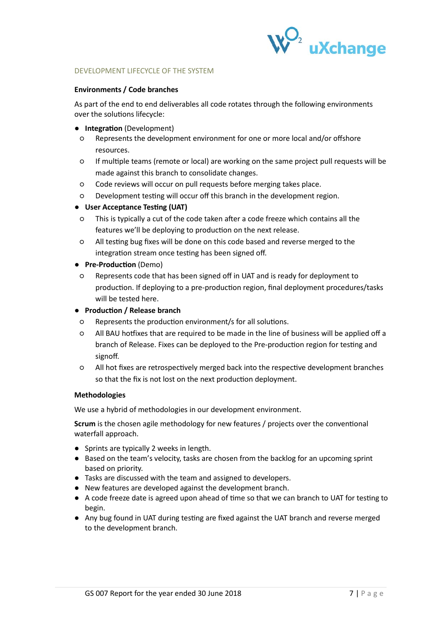

#### DEVELOPMENT LIFECYCLE OF THE SYSTEM

#### **Environments / Code branches**

As part of the end to end deliverables all code rotates through the following environments over the solutions lifecycle:

#### ● **Integration** (Development)

- Represents the development environment for one or more local and/or offshore resources.
- If multiple teams (remote or local) are working on the same project pull requests will be made against this branch to consolidate changes.
- Code reviews will occur on pull requests before merging takes place.
- Development testing will occur off this branch in the development region.

## ● **User Acceptance Testing (UAT)**

- This is typically a cut of the code taken after a code freeze which contains all the features we'll be deploying to production on the next release.
- All testing bug fixes will be done on this code based and reverse merged to the integration stream once testing has been signed off.
- **Pre-Production** (Demo)
- Represents code that has been signed off in UAT and is ready for deployment to production. If deploying to a pre-production region, final deployment procedures/tasks will be tested here.

#### ● **Production / Release branch**

- Represents the production environment/s for all solutions.
- All BAU hotfixes that are required to be made in the line of business will be applied off a branch of Release. Fixes can be deployed to the Pre-production region for testing and signoff.
- All hot fixes are retrospectively merged back into the respective development branches so that the fix is not lost on the next production deployment.

## **Methodologies**

We use a hybrid of methodologies in our development environment.

**Scrum** is the chosen agile methodology for new features / projects over the conventional waterfall approach.

- Sprints are typically 2 weeks in length.
- Based on the team's velocity, tasks are chosen from the backlog for an upcoming sprint based on priority.
- Tasks are discussed with the team and assigned to developers.
- New features are developed against the development branch.
- A code freeze date is agreed upon ahead of time so that we can branch to UAT for testing to begin.
- Any bug found in UAT during testing are fixed against the UAT branch and reverse merged to the development branch.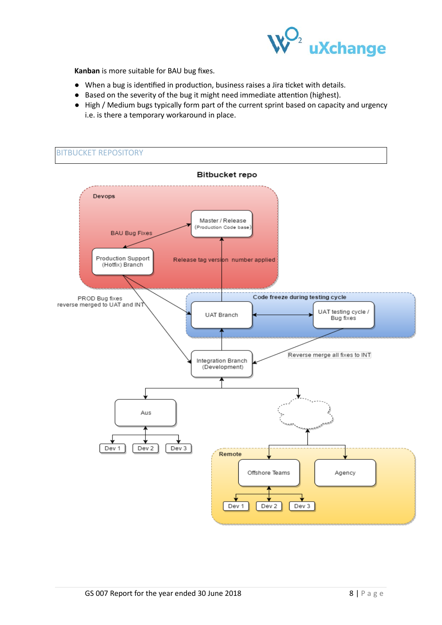

**Kanban** is more suitable for BAU bug fixes.

- When a bug is identified in production, business raises a Jira ticket with details.
- Based on the severity of the bug it might need immediate attention (highest).
- High / Medium bugs typically form part of the current sprint based on capacity and urgency i.e. is there a temporary workaround in place.

<span id="page-7-0"></span>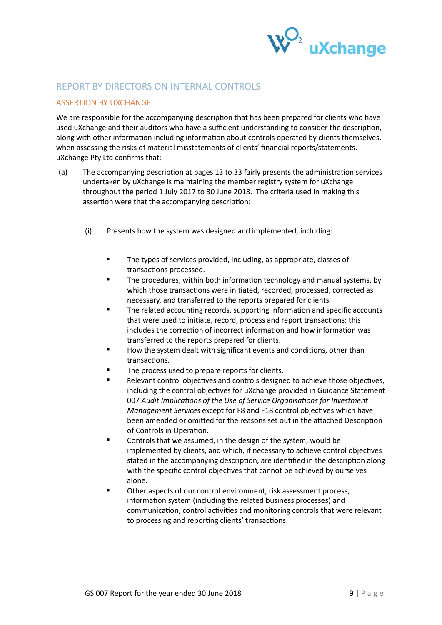

# <span id="page-8-0"></span>REPORT BY DIRECTORS ON INTERNAL CONTROLS

## <span id="page-8-1"></span>ASSERTION BY UXCHANGE.

We are responsible for the accompanying description that has been prepared for clients who have used uXchange and their auditors who have a sufficient understanding to consider the description, along with other information including information about controls operated by clients themselves, when assessing the risks of material misstatements of clients' financial reports/statements. uXchange Pty Ltd confirms that:

- (a) The accompanying description at pages 13 to 33 fairly presents the administration services undertaken by uXchange is maintaining the member registry system for uXchange throughout the period 1 July 2017 to 30 June 2018. The criteria used in making this assertion were that the accompanying description:
	- (i) Presents how the system was designed and implemented, including:
		- The types of services provided, including, as appropriate, classes of transactions processed.
		- The procedures, within both information technology and manual systems, by which those transactions were initiated, recorded, processed, corrected as necessary, and transferred to the reports prepared for clients.
		- The related accounting records, supporting information and specific accounts that were used to initiate, record, process and report transactions; this includes the correction of incorrect information and how information was transferred to the reports prepared for clients.
		- How the system dealt with significant events and conditions, other than transactions.
		- The process used to prepare reports for clients.
		- Relevant control objectives and controls designed to achieve those objectives, including the control objectives for uXchange provided in Guidance Statement 007 *Audit Implications of the Use of Service Organisations for Investment Management Services* except for F8 and F18 control objectives which have been amended or omitted for the reasons set out in the attached Description of Controls in Operation.
		- Controls that we assumed, in the design of the system, would be implemented by clients, and which, if necessary to achieve control objectives stated in the accompanying description, are identified in the description along with the specific control objectives that cannot be achieved by ourselves alone.
		- Other aspects of our control environment, risk assessment process, information system (including the related business processes) and communication, control activities and monitoring controls that were relevant to processing and reporting clients' transactions.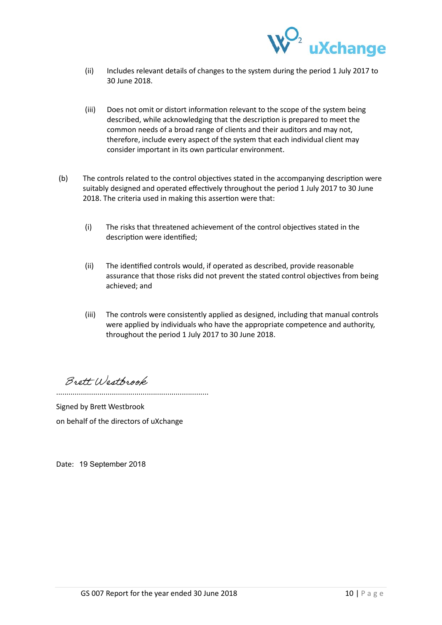

- (ii) Includes relevant details of changes to the system during the period 1 July 2017 to 30 June 2018.
- (iii) Does not omit or distort information relevant to the scope of the system being described, while acknowledging that the description is prepared to meet the common needs of a broad range of clients and their auditors and may not, therefore, include every aspect of the system that each individual client may consider important in its own particular environment.
- (b) The controls related to the control objectives stated in the accompanying description were suitably designed and operated effectively throughout the period 1 July 2017 to 30 June 2018. The criteria used in making this assertion were that:
	- (i) The risks that threatened achievement of the control objectives stated in the description were identified;
	- (ii) The identified controls would, if operated as described, provide reasonable assurance that those risks did not prevent the stated control objectives from being achieved; and
	- (iii) The controls were consistently applied as designed, including that manual controls were applied by individuals who have the appropriate competence and authority, throughout the period 1 July 2017 to 30 June 2018.

Brett Westbrook

..........................................................................

Signed by Brett Westbrook on behalf of the directors of uXchange

Date: 19 September 2018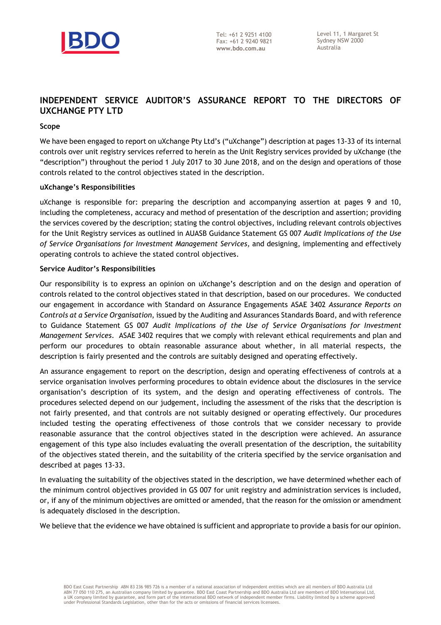

# <span id="page-10-0"></span>**INDEPENDENT SERVICE AUDITOR'S ASSURANCE REPORT TO THE DIRECTORS OF UXCHANGE PTY LTD**

#### **Scope**

We have been engaged to report on uXchange Pty Ltd's ("uXchange") description at pages 13-33 of its internal controls over unit registry services referred to herein as the Unit Registry services provided by uXchange (the "description") throughout the period 1 July 2017 to 30 June 2018, and on the design and operations of those controls related to the control objectives stated in the description.

#### **uXchange's Responsibilities**

uXchange is responsible for: preparing the description and accompanying assertion at pages 9 and 10, including the completeness, accuracy and method of presentation of the description and assertion; providing the services covered by the description; stating the control objectives, including relevant controls objectives for the Unit Registry services as outlined in AUASB Guidance Statement GS 007 *Audit Implications of the Use of Service Organisations for Investment Management Services,* and designing, implementing and effectively operating controls to achieve the stated control objectives.

#### **Service Auditor's Responsibilities**

Our responsibility is to express an opinion on uXchange's description and on the design and operation of controls related to the control objectives stated in that description, based on our procedures. We conducted our engagement in accordance with Standard on Assurance Engagements ASAE 3402 *Assurance Reports on Controls at a Service Organisation*, issued by the Auditing and Assurances Standards Board, and with reference to Guidance Statement GS 007 *Audit Implications of the Use of Service Organisations for Investment Management Services*. ASAE 3402 requires that we comply with relevant ethical requirements and plan and perform our procedures to obtain reasonable assurance about whether, in all material respects, the description is fairly presented and the controls are suitably designed and operating effectively.

An assurance engagement to report on the description, design and operating effectiveness of controls at a service organisation involves performing procedures to obtain evidence about the disclosures in the service organisation's description of its system, and the design and operating effectiveness of controls. The procedures selected depend on our judgement, including the assessment of the risks that the description is not fairly presented, and that controls are not suitably designed or operating effectively. Our procedures included testing the operating effectiveness of those controls that we consider necessary to provide reasonable assurance that the control objectives stated in the description were achieved. An assurance engagement of this type also includes evaluating the overall presentation of the description, the suitability of the objectives stated therein, and the suitability of the criteria specified by the service organisation and described at pages 13-33.

In evaluating the suitability of the objectives stated in the description, we have determined whether each of the minimum control objectives provided in GS 007 for unit registry and administration services is included, or, if any of the minimum objectives are omitted or amended, that the reason for the omission or amendment is adequately disclosed in the description.

We believe that the evidence we have obtained is sufficient and appropriate to provide a basis for our opinion.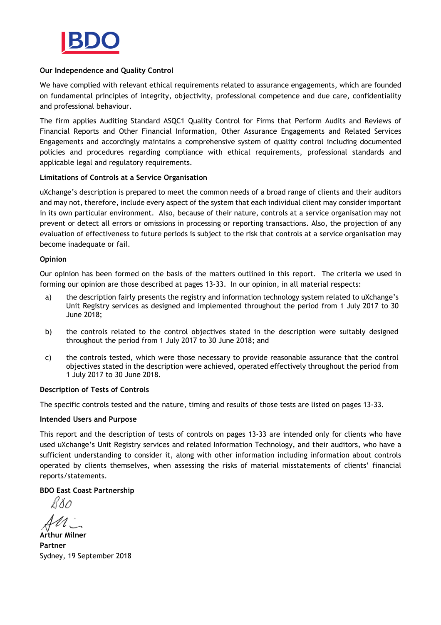

## **Our Independence and Quality Control**

We have complied with relevant ethical requirements related to assurance engagements, which are founded on fundamental principles of integrity, objectivity, professional competence and due care, confidentiality and professional behaviour.

The firm applies Auditing Standard ASQC1 Quality Control for Firms that Perform Audits and Reviews of Financial Reports and Other Financial Information, Other Assurance Engagements and Related Services Engagements and accordingly maintains a comprehensive system of quality control including documented policies and procedures regarding compliance with ethical requirements, professional standards and applicable legal and regulatory requirements.

## **Limitations of Controls at a Service Organisation**

uXchange's description is prepared to meet the common needs of a broad range of clients and their auditors and may not, therefore, include every aspect of the system that each individual client may consider important in its own particular environment. Also, because of their nature, controls at a service organisation may not prevent or detect all errors or omissions in processing or reporting transactions. Also, the projection of any evaluation of effectiveness to future periods is subject to the risk that controls at a service organisation may become inadequate or fail.

## **Opinion**

Our opinion has been formed on the basis of the matters outlined in this report. The criteria we used in forming our opinion are those described at pages 13-33. In our opinion, in all material respects:

- a) the description fairly presents the registry and information technology system related to uXchange's Unit Registry services as designed and implemented throughout the period from 1 July 2017 to 30 June 2018;
- b) the controls related to the control objectives stated in the description were suitably designed throughout the period from 1 July 2017 to 30 June 2018; and
- c) the controls tested, which were those necessary to provide reasonable assurance that the control objectives stated in the description were achieved, operated effectively throughout the period from 1 July 2017 to 30 June 2018.

## **Description of Tests of Controls**

The specific controls tested and the nature, timing and results of those tests are listed on pages 13-33.

#### **Intended Users and Purpose**

This report and the description of tests of controls on pages 13-33 are intended only for clients who have used uXchange's Unit Registry services and related Information Technology, and their auditors, who have a sufficient understanding to consider it, along with other information including information about controls operated by clients themselves, when assessing the risks of material misstatements of clients' financial reports/statements.

## **BDO East Coast Partnership**

RXO

**Arthur Milner Partner** Sydney, 19 September 2018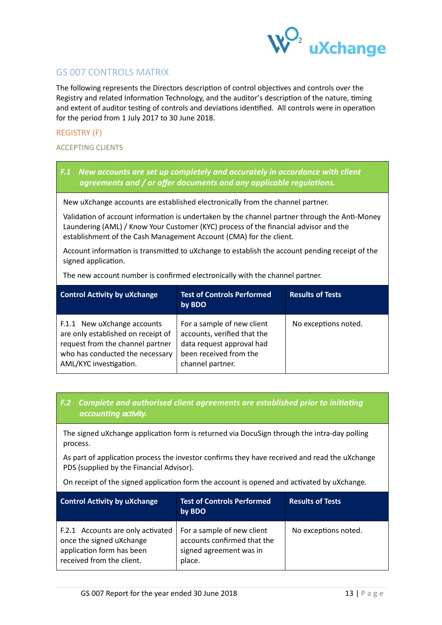

# <span id="page-12-0"></span>GS 007 CONTROLS MATRIX

The following represents the Directors description of control objectives and controls over the Registry and related Information Technology, and the auditor's description of the nature, timing and extent of auditor testing of controls and deviations identified. All controls were in operation for the period from 1 July 2017 to 30 June 2018.

## <span id="page-12-1"></span>REGISTRY (F)

## ACCEPTING CLIENTS

*F.1 New accounts are set up completely and accurately in accordance with client agreements and / or offer documents and any applicable regulations.*

New uXchange accounts are established electronically from the channel partner.

Validation of account information is undertaken by the channel partner through the Anti-Money Laundering (AML) / Know Your Customer (KYC) process of the financial advisor and the establishment of the Cash Management Account (CMA) for the client.

Account information is transmitted to uXchange to establish the account pending receipt of the signed application.

The new account number is confirmed electronically with the channel partner.

| <b>Control Activity by uXchange</b>                                                                                                                                | <b>Test of Controls Performed</b><br>by BDO                                                                                          | <b>Results of Tests</b> |
|--------------------------------------------------------------------------------------------------------------------------------------------------------------------|--------------------------------------------------------------------------------------------------------------------------------------|-------------------------|
| F.1.1 New uXchange accounts<br>are only established on receipt of<br>request from the channel partner<br>who has conducted the necessary<br>AML/KYC investigation. | For a sample of new client<br>accounts, verified that the<br>data request approval had<br>been received from the<br>channel partner. | No exceptions noted.    |

## *F.2**Complete and authorised client agreements are established prior to initiating accounting activity.*

The signed uXchange application form is returned via DocuSign through the intra-day polling process.

As part of application process the investor confirms they have received and read the uXchange PDS (supplied by the Financial Advisor).

On receipt of the signed application form the account is opened and activated by uXchange.

| <b>Control Activity by uXchange</b>                                                                                     | <b>Test of Controls Performed</b><br>by BDO                                                    | <b>Results of Tests</b> |
|-------------------------------------------------------------------------------------------------------------------------|------------------------------------------------------------------------------------------------|-------------------------|
| F.2.1 Accounts are only activated<br>once the signed uXchange<br>application form has been<br>received from the client. | For a sample of new client<br>accounts confirmed that the<br>signed agreement was in<br>place. | No exceptions noted.    |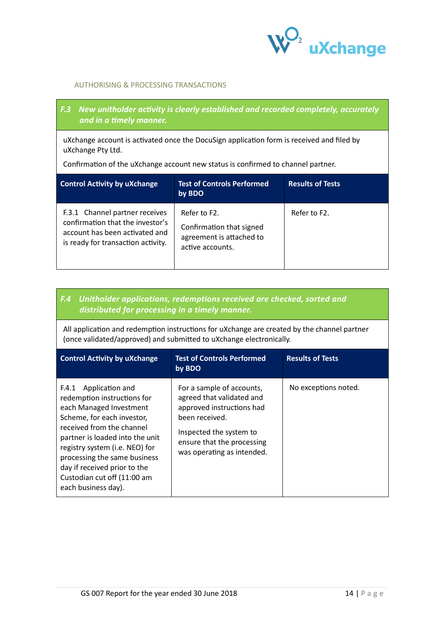

## AUTHORISING & PROCESSING TRANSACTIONS

## *F.3 New unitholder activity is clearly established and recorded completely, accurately and in a timely manner.*

uXchange account is activated once the DocuSign application form is received and filed by uXchange Pty Ltd.

Confirmation of the uXchange account new status is confirmed to channel partner.

| <b>Control Activity by uXchange</b>                                                                                                        | <b>Test of Controls Performed</b><br>by BDO                                              | <b>Results of Tests</b> |
|--------------------------------------------------------------------------------------------------------------------------------------------|------------------------------------------------------------------------------------------|-------------------------|
| F.3.1 Channel partner receives<br>confirmation that the investor's<br>account has been activated and<br>is ready for transaction activity. | Refer to F2.<br>Confirmation that signed<br>agreement is attached to<br>active accounts. | Refer to F2.            |

## *F.4 Unitholder applications, redemptions received are checked, sorted and distributed for processing in a timely manner.*

All application and redemption instructions for uXchange are created by the channel partner (once validated/approved) and submitted to uXchange electronically.

| <b>Control Activity by uXchange</b>                                                                                                                                                                                                                                                                                                      | <b>Test of Controls Performed</b><br>by BDO                                                                                                                                                  | <b>Results of Tests</b> |
|------------------------------------------------------------------------------------------------------------------------------------------------------------------------------------------------------------------------------------------------------------------------------------------------------------------------------------------|----------------------------------------------------------------------------------------------------------------------------------------------------------------------------------------------|-------------------------|
| Application and<br>F.4.1<br>redemption instructions for<br>each Managed Investment<br>Scheme, for each investor,<br>received from the channel<br>partner is loaded into the unit<br>registry system (i.e. NEO) for<br>processing the same business<br>day if received prior to the<br>Custodian cut off (11:00 am<br>each business day). | For a sample of accounts,<br>agreed that validated and<br>approved instructions had<br>been received.<br>Inspected the system to<br>ensure that the processing<br>was operating as intended. | No exceptions noted.    |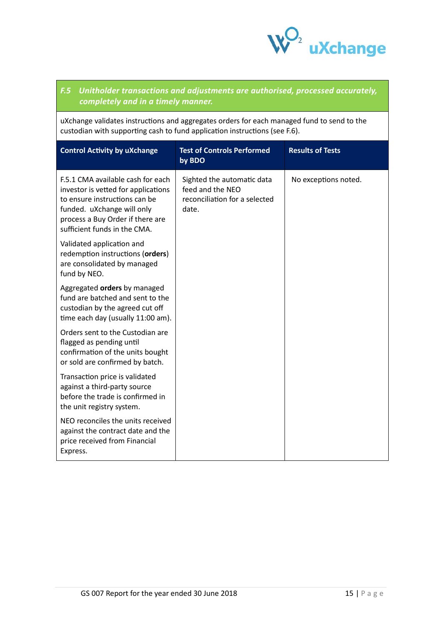

## *F.5**Unitholder transactions and adjustments are authorised, processed accurately, completely and in a timely manner.*

uXchange validates instructions and aggregates orders for each managed fund to send to the custodian with supporting cash to fund application instructions (see F.6).

| <b>Control Activity by uXchange</b>                                                                                                                                                                         | <b>Test of Controls Performed</b><br>by BDO                                              | <b>Results of Tests</b> |
|-------------------------------------------------------------------------------------------------------------------------------------------------------------------------------------------------------------|------------------------------------------------------------------------------------------|-------------------------|
| F.5.1 CMA available cash for each<br>investor is vetted for applications<br>to ensure instructions can be<br>funded. uXchange will only<br>process a Buy Order if there are<br>sufficient funds in the CMA. | Sighted the automatic data<br>feed and the NEO<br>reconciliation for a selected<br>date. | No exceptions noted.    |
| Validated application and<br>redemption instructions (orders)<br>are consolidated by managed<br>fund by NEO.                                                                                                |                                                                                          |                         |
| Aggregated orders by managed<br>fund are batched and sent to the<br>custodian by the agreed cut off<br>time each day (usually 11:00 am).                                                                    |                                                                                          |                         |
| Orders sent to the Custodian are<br>flagged as pending until<br>confirmation of the units bought<br>or sold are confirmed by batch.                                                                         |                                                                                          |                         |
| Transaction price is validated<br>against a third-party source<br>before the trade is confirmed in<br>the unit registry system.                                                                             |                                                                                          |                         |
| NEO reconciles the units received<br>against the contract date and the<br>price received from Financial<br>Express.                                                                                         |                                                                                          |                         |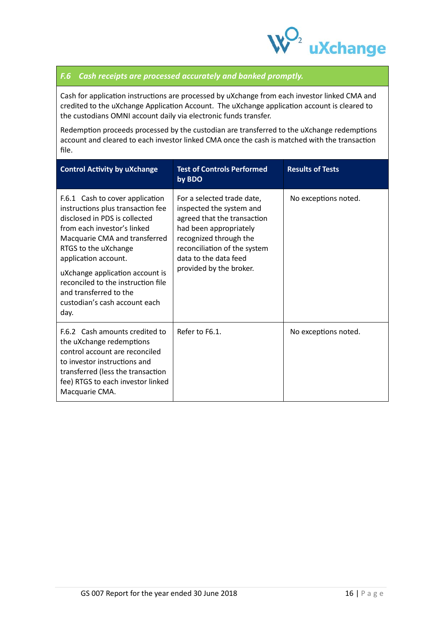

## *F.6 Cash receipts are processed accurately and banked promptly.*

Cash for application instructions are processed by uXchange from each investor linked CMA and credited to the uXchange Application Account. The uXchange application account is cleared to the custodians OMNI account daily via electronic funds transfer.

Redemption proceeds processed by the custodian are transferred to the uXchange redemptions account and cleared to each investor linked CMA once the cash is matched with the transaction file.

| <b>Control Activity by uXchange</b>                                                                                                                                                                                                                                                                                                                               | <b>Test of Controls Performed</b><br>by BDO                                                                                                                                                                                   | <b>Results of Tests</b> |
|-------------------------------------------------------------------------------------------------------------------------------------------------------------------------------------------------------------------------------------------------------------------------------------------------------------------------------------------------------------------|-------------------------------------------------------------------------------------------------------------------------------------------------------------------------------------------------------------------------------|-------------------------|
| F.6.1 Cash to cover application<br>instructions plus transaction fee<br>disclosed in PDS is collected<br>from each investor's linked<br>Macquarie CMA and transferred<br>RTGS to the uXchange<br>application account.<br>uXchange application account is<br>reconciled to the instruction file<br>and transferred to the<br>custodian's cash account each<br>day. | For a selected trade date,<br>inspected the system and<br>agreed that the transaction<br>had been appropriately<br>recognized through the<br>reconciliation of the system<br>data to the data feed<br>provided by the broker. | No exceptions noted.    |
| F.6.2 Cash amounts credited to<br>the uXchange redemptions<br>control account are reconciled<br>to investor instructions and<br>transferred (less the transaction<br>fee) RTGS to each investor linked<br>Macquarie CMA.                                                                                                                                          | Refer to F6.1.                                                                                                                                                                                                                | No exceptions noted.    |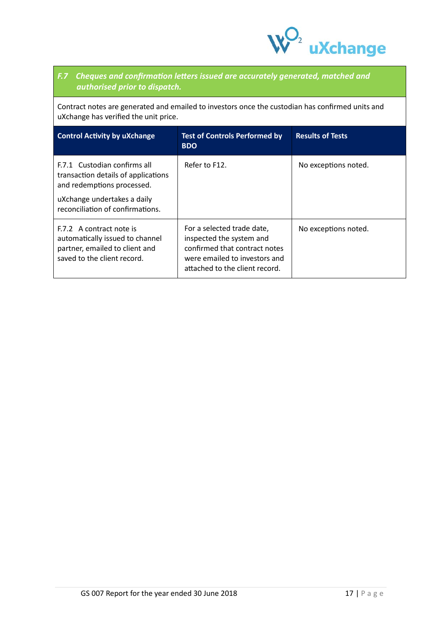

# *F.7 Cheques and confirmation letters issued are accurately generated, matched and authorised prior to dispatch.*

Contract notes are generated and emailed to investors once the custodian has confirmed units and uXchange has verified the unit price.

| <b>Control Activity by uXchange</b>                                                                                                                                  | <b>Test of Controls Performed by</b><br><b>BDO</b>                                                                                                         | <b>Results of Tests</b> |
|----------------------------------------------------------------------------------------------------------------------------------------------------------------------|------------------------------------------------------------------------------------------------------------------------------------------------------------|-------------------------|
| F.7.1 Custodian confirms all<br>transaction details of applications<br>and redemptions processed.<br>uXchange undertakes a daily<br>reconciliation of confirmations. | Refer to F12.                                                                                                                                              | No exceptions noted.    |
| F.7.2 A contract note is<br>automatically issued to channel<br>partner, emailed to client and<br>saved to the client record.                                         | For a selected trade date,<br>inspected the system and<br>confirmed that contract notes<br>were emailed to investors and<br>attached to the client record. | No exceptions noted.    |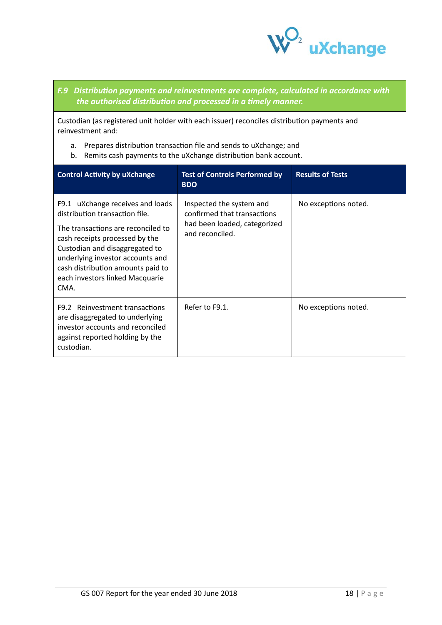

## *F.9 Distribution payments and reinvestments are complete, calculated in accordance with the authorised distribution and processed in a timely manner.*

Custodian (as registered unit holder with each issuer) reconciles distribution payments and reinvestment and:

- a. Prepares distribution transaction file and sends to uXchange; and
- b. Remits cash payments to the uXchange distribution bank account.

| <b>Control Activity by uXchange</b>                                                                                                                                                                                                                                                              | <b>Test of Controls Performed by</b><br><b>BDO</b>                                                         | <b>Results of Tests</b> |
|--------------------------------------------------------------------------------------------------------------------------------------------------------------------------------------------------------------------------------------------------------------------------------------------------|------------------------------------------------------------------------------------------------------------|-------------------------|
| F9.1 uXchange receives and loads<br>distribution transaction file.<br>The transactions are reconciled to<br>cash receipts processed by the<br>Custodian and disaggregated to<br>underlying investor accounts and<br>cash distribution amounts paid to<br>each investors linked Macquarie<br>CMA. | Inspected the system and<br>confirmed that transactions<br>had been loaded, categorized<br>and reconciled. | No exceptions noted.    |
| F9.2 Reinvestment transactions<br>are disaggregated to underlying<br>investor accounts and reconciled<br>against reported holding by the<br>custodian.                                                                                                                                           | Refer to F9.1.                                                                                             | No exceptions noted.    |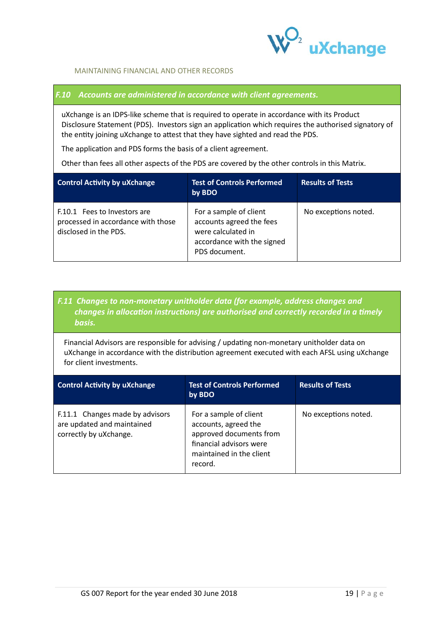

## MAINTAINING FINANCIAL AND OTHER RECORDS

## *F.10 Accounts are administered in accordance with client agreements.*

uXchange is an IDPS-like scheme that is required to operate in accordance with its Product Disclosure Statement (PDS). Investors sign an application which requires the authorised signatory of the entity joining uXchange to attest that they have sighted and read the PDS.

The application and PDS forms the basis of a client agreement.

Other than fees all other aspects of the PDS are covered by the other controls in this Matrix.

| <b>Control Activity by uXchange</b>                                                         | <b>Test of Controls Performed</b><br>by BDO                                                                             | <b>Results of Tests</b> |
|---------------------------------------------------------------------------------------------|-------------------------------------------------------------------------------------------------------------------------|-------------------------|
| F.10.1 Fees to Investors are<br>processed in accordance with those<br>disclosed in the PDS. | For a sample of client<br>accounts agreed the fees<br>were calculated in<br>accordance with the signed<br>PDS document. | No exceptions noted.    |

## *F.11 Changes to non-monetary unitholder data (for example, address changes and changes in allocation instructions) are authorised and correctly recorded in a timely basis.*

Financial Advisors are responsible for advising / updating non-monetary unitholder data on uXchange in accordance with the distribution agreement executed with each AFSL using uXchange for client investments.

| <b>Control Activity by uXchange</b>                                                     | <b>Test of Controls Performed</b><br>by BDO                                                                                                 | <b>Results of Tests</b> |
|-----------------------------------------------------------------------------------------|---------------------------------------------------------------------------------------------------------------------------------------------|-------------------------|
| F.11.1 Changes made by advisors<br>are updated and maintained<br>correctly by uXchange. | For a sample of client<br>accounts, agreed the<br>approved documents from<br>financial advisors were<br>maintained in the client<br>record. | No exceptions noted.    |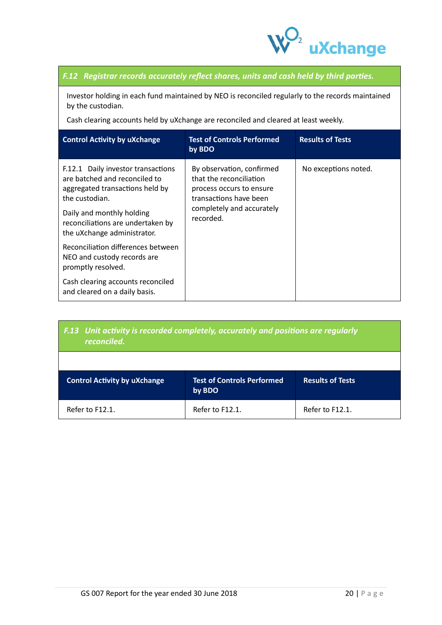

## *F.12 Registrar records accurately reflect shares, units and cash held by third parties.*

Investor holding in each fund maintained by NEO is reconciled regularly to the records maintained by the custodian.

Cash clearing accounts held by uXchange are reconciled and cleared at least weekly.

| <b>Control Activity by uXchange</b>                                                                                                                                                                                       | <b>Test of Controls Performed</b><br>by BDO                                                                                                          | <b>Results of Tests</b> |
|---------------------------------------------------------------------------------------------------------------------------------------------------------------------------------------------------------------------------|------------------------------------------------------------------------------------------------------------------------------------------------------|-------------------------|
| F.12.1 Daily investor transactions<br>are batched and reconciled to<br>aggregated transactions held by<br>the custodian.<br>Daily and monthly holding<br>reconciliations are undertaken by<br>the uXchange administrator. | By observation, confirmed<br>that the reconciliation<br>process occurs to ensure<br>transactions have been<br>completely and accurately<br>recorded. | No exceptions noted.    |
| Reconciliation differences between<br>NEO and custody records are<br>promptly resolved.                                                                                                                                   |                                                                                                                                                      |                         |
| Cash clearing accounts reconciled<br>and cleared on a daily basis.                                                                                                                                                        |                                                                                                                                                      |                         |

| F.13 Unit activity is recorded completely, accurately and positions are regularly<br>reconciled. |                                             |                         |
|--------------------------------------------------------------------------------------------------|---------------------------------------------|-------------------------|
|                                                                                                  |                                             |                         |
| <b>Control Activity by uXchange</b>                                                              | <b>Test of Controls Performed</b><br>by BDO | <b>Results of Tests</b> |
| Refer to F12.1.                                                                                  | Refer to F12.1.                             | Refer to F12.1.         |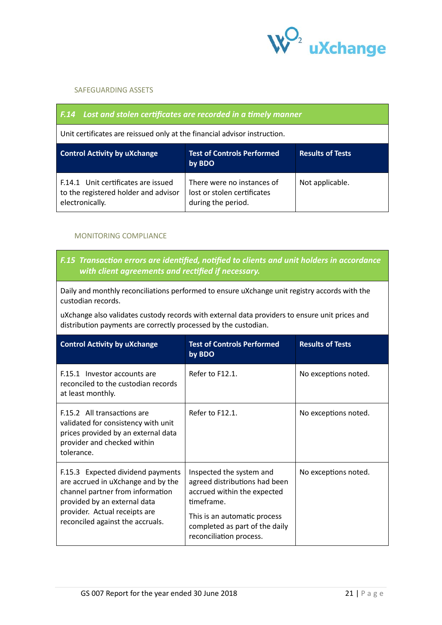

## SAFEGUARDING ASSETS

| <b>F.14</b> Lost and stolen certificates are recorded in a timely manner                       |                                                                                 |                         |
|------------------------------------------------------------------------------------------------|---------------------------------------------------------------------------------|-------------------------|
| Unit certificates are reissued only at the financial advisor instruction.                      |                                                                                 |                         |
| <b>Control Activity by uXchange</b>                                                            | <b>Test of Controls Performed</b><br>by BDO                                     | <b>Results of Tests</b> |
| F.14.1 Unit certificates are issued<br>to the registered holder and advisor<br>electronically. | There were no instances of<br>lost or stolen certificates<br>during the period. | Not applicable.         |

## MONITORING COMPLIANCE

## *F.15 Transaction errors are identified, notified to clients and unit holders in accordance with client agreements and rectified if necessary.*

Daily and monthly reconciliations performed to ensure uXchange unit registry accords with the custodian records.

uXchange also validates custody records with external data providers to ensure unit prices and distribution payments are correctly processed by the custodian.

| <b>Control Activity by uXchange</b>                                                                                                                                                                              | <b>Test of Controls Performed</b><br>by BDO                                                                                                                                                         | <b>Results of Tests</b> |
|------------------------------------------------------------------------------------------------------------------------------------------------------------------------------------------------------------------|-----------------------------------------------------------------------------------------------------------------------------------------------------------------------------------------------------|-------------------------|
| F.15.1 Investor accounts are<br>reconciled to the custodian records<br>at least monthly.                                                                                                                         | Refer to F12.1.                                                                                                                                                                                     | No exceptions noted.    |
| F.15.2 All transactions are<br>validated for consistency with unit<br>prices provided by an external data<br>provider and checked within<br>tolerance.                                                           | Refer to F12.1.                                                                                                                                                                                     | No exceptions noted.    |
| F.15.3 Expected dividend payments<br>are accrued in uXchange and by the<br>channel partner from information<br>provided by an external data<br>provider. Actual receipts are<br>reconciled against the accruals. | Inspected the system and<br>agreed distributions had been<br>accrued within the expected<br>timeframe.<br>This is an automatic process<br>completed as part of the daily<br>reconciliation process. | No exceptions noted.    |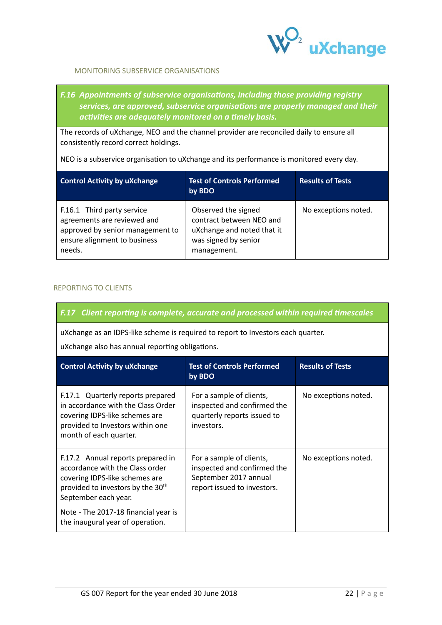

## MONITORING SUBSERVICE ORGANISATIONS

## *F.16 Appointments of subservice organisations, including those providing registry services, are approved, subservice organisations are properly managed and their activities are adequately monitored on a timely basis.*

The records of uXchange, NEO and the channel provider are reconciled daily to ensure all consistently record correct holdings.

NEO is a subservice organisation to uXchange and its performance is monitored every day.

| <b>Control Activity by uXchange</b>                                                                                                     | <b>Test of Controls Performed</b><br>by BDO                                                                          | <b>Results of Tests</b> |
|-----------------------------------------------------------------------------------------------------------------------------------------|----------------------------------------------------------------------------------------------------------------------|-------------------------|
| F.16.1 Third party service<br>agreements are reviewed and<br>approved by senior management to<br>ensure alignment to business<br>needs. | Observed the signed<br>contract between NEO and<br>uXchange and noted that it<br>was signed by senior<br>management. | No exceptions noted.    |

## REPORTING TO CLIENTS

## *F.17 Client reporting is complete, accurate and processed within required timescales*

uXchange as an IDPS-like scheme is required to report to Investors each quarter.

uXchange also has annual reporting obligations.

| <b>Control Activity by uXchange</b>                                                                                                                                                                                                                         | <b>Test of Controls Performed</b><br>by BDO                                                                     | <b>Results of Tests</b> |
|-------------------------------------------------------------------------------------------------------------------------------------------------------------------------------------------------------------------------------------------------------------|-----------------------------------------------------------------------------------------------------------------|-------------------------|
| F.17.1 Quarterly reports prepared<br>in accordance with the Class Order<br>covering IDPS-like schemes are<br>provided to Investors within one<br>month of each quarter.                                                                                     | For a sample of clients,<br>inspected and confirmed the<br>quarterly reports issued to<br>investors.            | No exceptions noted.    |
| F.17.2 Annual reports prepared in<br>accordance with the Class order<br>covering IDPS-like schemes are<br>provided to investors by the 30 <sup>th</sup><br>September each year.<br>Note - The 2017-18 financial year is<br>the inaugural year of operation. | For a sample of clients,<br>inspected and confirmed the<br>September 2017 annual<br>report issued to investors. | No exceptions noted.    |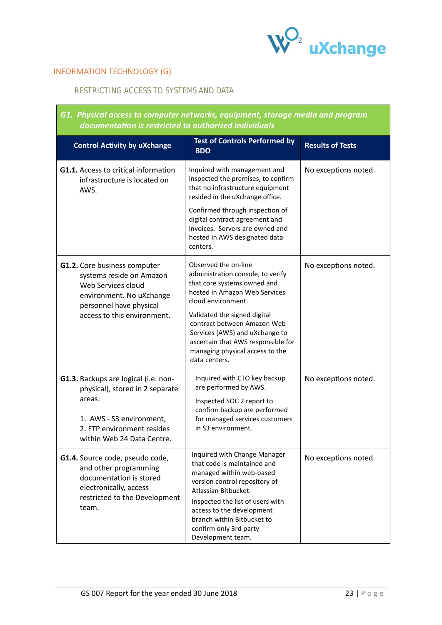

# INFORMATION TECHNOLOGY (G)

 $\mathcal{L}^{\mathcal{L}}(\mathcal{L}^{\mathcal{L}}(\mathcal{L}^{\mathcal{L}}(\mathcal{L}^{\mathcal{L}}(\mathcal{L}^{\mathcal{L}}(\mathcal{L}^{\mathcal{L}}(\mathcal{L}^{\mathcal{L}}(\mathcal{L}^{\mathcal{L}}(\mathcal{L}^{\mathcal{L}}(\mathcal{L}^{\mathcal{L}}(\mathcal{L}^{\mathcal{L}}(\mathcal{L}^{\mathcal{L}}(\mathcal{L}^{\mathcal{L}}(\mathcal{L}^{\mathcal{L}}(\mathcal{L}^{\mathcal{L}}(\mathcal{L}^{\mathcal{L}}(\mathcal{L}^{\mathcal{L$ 

## RESTRICTING ACCESS TO SYSTEMS AND DATA

| G1.  Physical access to computer networks, equipment, storage media and program<br>documentation is restricted to authorized individuals                                  |                                                                                                                                                                                                                                                                                                |                         |
|---------------------------------------------------------------------------------------------------------------------------------------------------------------------------|------------------------------------------------------------------------------------------------------------------------------------------------------------------------------------------------------------------------------------------------------------------------------------------------|-------------------------|
| <b>Control Activity by uXchange</b>                                                                                                                                       | <b>Test of Controls Performed by</b><br><b>BDO</b>                                                                                                                                                                                                                                             | <b>Results of Tests</b> |
| G1.1. Access to critical information<br>infrastructure is located on<br>AWS.                                                                                              | Inquired with management and<br>inspected the premises, to confirm<br>that no infrastructure equipment<br>resided in the uXchange office.                                                                                                                                                      | No exceptions noted.    |
|                                                                                                                                                                           | Confirmed through inspection of<br>digital contract agreement and<br>invoices. Servers are owned and<br>hosted in AWS designated data<br>centers.                                                                                                                                              |                         |
| <b>G1.2.</b> Core business computer<br>systems reside on Amazon<br>Web Services cloud<br>environment. No uXchange<br>personnel have physical                              | Observed the on-line<br>administration console, to verify<br>that core systems owned and<br>hosted in Amazon Web Services<br>cloud environment.                                                                                                                                                | No exceptions noted.    |
| access to this environment.                                                                                                                                               | Validated the signed digital<br>contract between Amazon Web<br>Services (AWS) and uXchange to<br>ascertain that AWS responsible for<br>managing physical access to the<br>data centers.                                                                                                        |                         |
| G1.3. Backups are logical (i.e. non-<br>physical), stored in 2 separate<br>areas:<br>1. AWS - S3 environment,<br>2. FTP environment resides<br>within Web 24 Data Centre. | Inquired with CTO key backup<br>are performed by AWS.<br>Inspected SOC 2 report to<br>confirm backup are performed<br>for managed services customers<br>in S3 environment.                                                                                                                     | No exceptions noted.    |
| G1.4. Source code, pseudo code,<br>and other programming<br>documentation is stored<br>electronically, access<br>restricted to the Development<br>team.                   | Inquired with Change Manager<br>that code is maintained and<br>managed within web-based<br>version control repository of<br>Atlassian Bitbucket.<br>Inspected the list of users with<br>access to the development<br>branch within Bitbucket to<br>confirm only 3rd party<br>Development team. | No exceptions noted.    |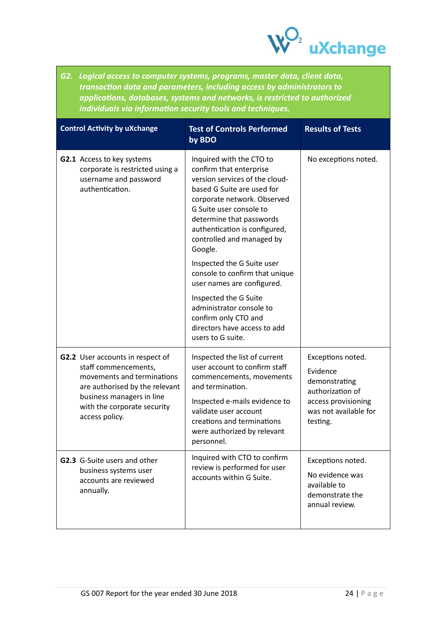

*G2. Logical access to computer systems, programs, master data, client data, transaction data and parameters, including access by administrators to applications, databases, systems and networks, is restricted to authorized individuals via information security tools and techniques.*

| <b>Control Activity by uXchange</b>                                                                                             | <b>Test of Controls Performed</b><br>by BDO                                                                                                                                                                                                                                        | <b>Results of Tests</b>                                                                   |
|---------------------------------------------------------------------------------------------------------------------------------|------------------------------------------------------------------------------------------------------------------------------------------------------------------------------------------------------------------------------------------------------------------------------------|-------------------------------------------------------------------------------------------|
| <b>G2.1</b> Access to key systems<br>corporate is restricted using a<br>username and password<br>authentication.                | Inquired with the CTO to<br>confirm that enterprise<br>version services of the cloud-<br>based G Suite are used for<br>corporate network. Observed<br>G Suite user console to<br>determine that passwords<br>authentication is configured,<br>controlled and managed by<br>Google. | No exceptions noted.                                                                      |
|                                                                                                                                 | Inspected the G Suite user<br>console to confirm that unique<br>user names are configured.                                                                                                                                                                                         |                                                                                           |
|                                                                                                                                 | Inspected the G Suite<br>administrator console to<br>confirm only CTO and<br>directors have access to add<br>users to G suite.                                                                                                                                                     |                                                                                           |
| <b>G2.2</b> User accounts in respect of<br>staff commencements,<br>movements and terminations<br>are authorised by the relevant | Inspected the list of current<br>user account to confirm staff<br>commencements, movements<br>and termination.                                                                                                                                                                     | Exceptions noted.<br>Evidence<br>demonstrating<br>authorization of                        |
| business managers in line<br>with the corporate security<br>access policy.                                                      | Inspected e-mails evidence to<br>validate user account<br>creations and terminations<br>were authorized by relevant<br>personnel.                                                                                                                                                  | access provisioning<br>was not available for<br>testing.                                  |
| <b>G2.3</b> G-Suite users and other<br>business systems user<br>accounts are reviewed<br>annually.                              | Inquired with CTO to confirm<br>review is performed for user<br>accounts within G Suite.                                                                                                                                                                                           | Exceptions noted.<br>No evidence was<br>available to<br>demonstrate the<br>annual review. |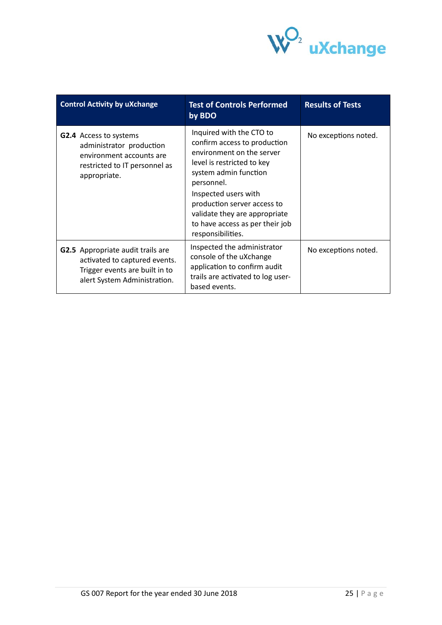

| <b>Control Activity by uXchange</b>                                                                                                    | <b>Test of Controls Performed</b><br>by BDO                                                                                                                                                                                                                                                                | <b>Results of Tests</b> |
|----------------------------------------------------------------------------------------------------------------------------------------|------------------------------------------------------------------------------------------------------------------------------------------------------------------------------------------------------------------------------------------------------------------------------------------------------------|-------------------------|
| <b>G2.4</b> Access to systems<br>administrator production<br>environment accounts are<br>restricted to IT personnel as<br>appropriate. | Inquired with the CTO to<br>confirm access to production<br>environment on the server<br>level is restricted to key<br>system admin function<br>personnel.<br>Inspected users with<br>production server access to<br>validate they are appropriate<br>to have access as per their job<br>responsibilities. | No exceptions noted.    |
| G2.5 Appropriate audit trails are<br>activated to captured events.<br>Trigger events are built in to<br>alert System Administration.   | Inspected the administrator<br>console of the uXchange<br>application to confirm audit<br>trails are activated to log user-<br>based events.                                                                                                                                                               | No exceptions noted.    |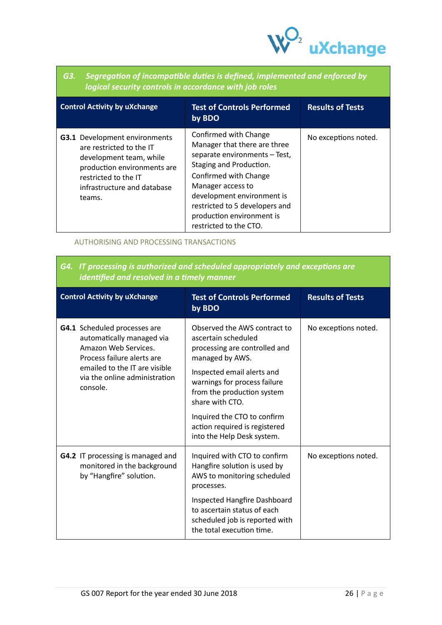

| G3. Segregation of incompatible duties is defined, implemented and enforced by |
|--------------------------------------------------------------------------------|
| $\mathsf I$ logical security controls in accordance with job roles $\mathsf I$ |

| <b>Control Activity by uXchange</b>                                                                                                                                                         | <b>Test of Controls Performed</b><br>by BDO                                                                                                                                                                                                                                            | <b>Results of Tests</b> |
|---------------------------------------------------------------------------------------------------------------------------------------------------------------------------------------------|----------------------------------------------------------------------------------------------------------------------------------------------------------------------------------------------------------------------------------------------------------------------------------------|-------------------------|
| <b>G3.1</b> Development environments<br>are restricted to the IT<br>development team, while<br>production environments are<br>restricted to the IT<br>infrastructure and database<br>teams. | Confirmed with Change<br>Manager that there are three<br>separate environments - Test,<br>Staging and Production.<br>Confirmed with Change<br>Manager access to<br>development environment is<br>restricted to 5 developers and<br>production environment is<br>restricted to the CTO. | No exceptions noted.    |

## AUTHORISING AND PROCESSING TRANSACTIONS

# *G4. IT processing is authorized and scheduled appropriately and exceptions are identified and resolved in a timely manner*

| <b>Control Activity by uXchange</b>                                                                                                                                                           | <b>Test of Controls Performed</b><br>by BDO                                                                                                                                                                                                                                                                          | <b>Results of Tests</b> |
|-----------------------------------------------------------------------------------------------------------------------------------------------------------------------------------------------|----------------------------------------------------------------------------------------------------------------------------------------------------------------------------------------------------------------------------------------------------------------------------------------------------------------------|-------------------------|
| G4.1 Scheduled processes are<br>automatically managed via<br>Amazon Web Services.<br>Process failure alerts are<br>emailed to the IT are visible<br>via the online administration<br>console. | Observed the AWS contract to<br>ascertain scheduled<br>processing are controlled and<br>managed by AWS.<br>Inspected email alerts and<br>warnings for process failure<br>from the production system<br>share with CTO.<br>Inquired the CTO to confirm<br>action required is registered<br>into the Help Desk system. | No exceptions noted.    |
| <b>G4.2</b> IT processing is managed and<br>monitored in the background<br>by "Hangfire" solution.                                                                                            | Inquired with CTO to confirm<br>Hangfire solution is used by<br>AWS to monitoring scheduled<br>processes.<br>Inspected Hangfire Dashboard<br>to ascertain status of each<br>scheduled job is reported with<br>the total execution time.                                                                              | No exceptions noted.    |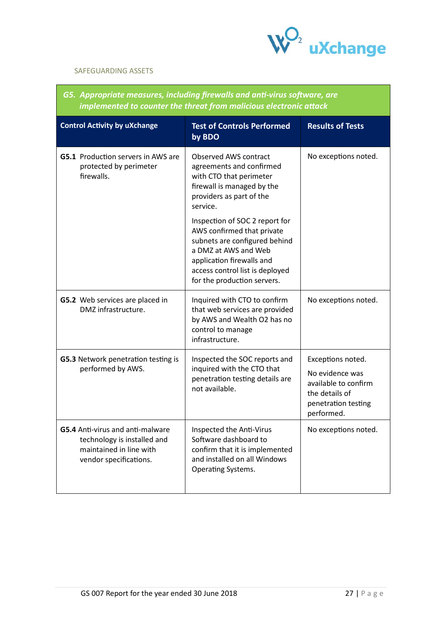

## SAFEGUARDING ASSETS

## *G5. Appropriate measures, including firewalls and anti-virus software, are implemented to counter the threat from malicious electronic attack*

| <b>Control Activity by uXchange</b>                                                                                  | <b>Test of Controls Performed</b><br>by BDO                                                                                                                                                                          | <b>Results of Tests</b>                                                                                             |
|----------------------------------------------------------------------------------------------------------------------|----------------------------------------------------------------------------------------------------------------------------------------------------------------------------------------------------------------------|---------------------------------------------------------------------------------------------------------------------|
| <b>G5.1</b> Production servers in AWS are<br>protected by perimeter<br>firewalls.                                    | Observed AWS contract<br>agreements and confirmed<br>with CTO that perimeter<br>firewall is managed by the<br>providers as part of the<br>service.                                                                   | No exceptions noted.                                                                                                |
|                                                                                                                      | Inspection of SOC 2 report for<br>AWS confirmed that private<br>subnets are configured behind<br>a DMZ at AWS and Web<br>application firewalls and<br>access control list is deployed<br>for the production servers. |                                                                                                                     |
| G5.2 Web services are placed in<br>DMZ infrastructure.                                                               | Inquired with CTO to confirm<br>that web services are provided<br>by AWS and Wealth O2 has no<br>control to manage<br>infrastructure.                                                                                | No exceptions noted.                                                                                                |
| G5.3 Network penetration testing is<br>performed by AWS.                                                             | Inspected the SOC reports and<br>inquired with the CTO that<br>penetration testing details are<br>not available.                                                                                                     | Exceptions noted.<br>No evidence was<br>available to confirm<br>the details of<br>penetration testing<br>performed. |
| G5.4 Anti-virus and anti-malware<br>technology is installed and<br>maintained in line with<br>vendor specifications. | Inspected the Anti-Virus<br>Software dashboard to<br>confirm that it is implemented<br>and installed on all Windows<br><b>Operating Systems.</b>                                                                     | No exceptions noted.                                                                                                |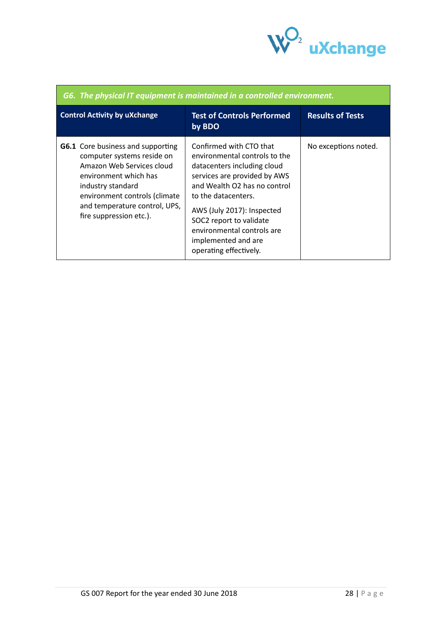

Ť

| G6. The physical IT equipment is maintained in a controlled environment.                                                                                                                                                                       |                                                                                                                                                                                                                                                                                                                        |                         |
|------------------------------------------------------------------------------------------------------------------------------------------------------------------------------------------------------------------------------------------------|------------------------------------------------------------------------------------------------------------------------------------------------------------------------------------------------------------------------------------------------------------------------------------------------------------------------|-------------------------|
| <b>Control Activity by uXchange</b>                                                                                                                                                                                                            | <b>Test of Controls Performed</b><br>by BDO                                                                                                                                                                                                                                                                            | <b>Results of Tests</b> |
| <b>G6.1</b> Core business and supporting<br>computer systems reside on<br>Amazon Web Services cloud<br>environment which has<br>industry standard<br>environment controls (climate<br>and temperature control, UPS,<br>fire suppression etc.). | Confirmed with CTO that<br>environmental controls to the<br>datacenters including cloud<br>services are provided by AWS<br>and Wealth O2 has no control<br>to the datacenters.<br>AWS (July 2017): Inspected<br>SOC2 report to validate<br>environmental controls are<br>implemented and are<br>operating effectively. | No exceptions noted.    |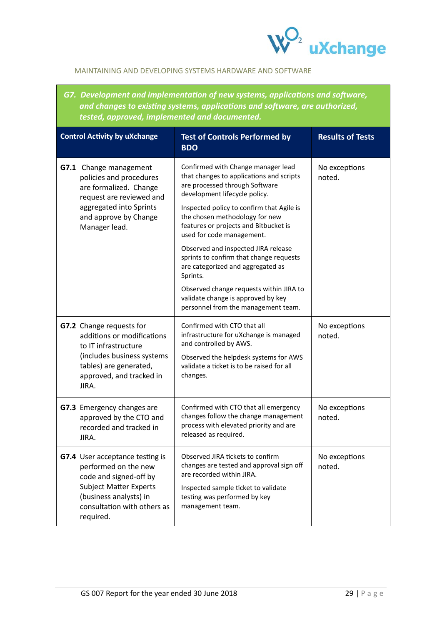

## MAINTAINING AND DEVELOPING SYSTEMS HARDWARE AND SOFTWARE

*G7. Development and implementation of new systems, applications and software, and changes to existing systems, applications and software, are authorized, tested, approved, implemented and documented.*

| <b>Control Activity by uXchange</b>                                                                                                                                                      | <b>Test of Controls Performed by</b><br><b>BDO</b>                                                                                                                                                                                                                                                                                                                                                                                                                                                                                                                | <b>Results of Tests</b> |
|------------------------------------------------------------------------------------------------------------------------------------------------------------------------------------------|-------------------------------------------------------------------------------------------------------------------------------------------------------------------------------------------------------------------------------------------------------------------------------------------------------------------------------------------------------------------------------------------------------------------------------------------------------------------------------------------------------------------------------------------------------------------|-------------------------|
| <b>G7.1</b> Change management<br>policies and procedures<br>are formalized. Change<br>request are reviewed and<br>aggregated into Sprints<br>and approve by Change<br>Manager lead.      | Confirmed with Change manager lead<br>that changes to applications and scripts<br>are processed through Software<br>development lifecycle policy.<br>Inspected policy to confirm that Agile is<br>the chosen methodology for new<br>features or projects and Bitbucket is<br>used for code management.<br>Observed and inspected JIRA release<br>sprints to confirm that change requests<br>are categorized and aggregated as<br>Sprints.<br>Observed change requests within JIRA to<br>validate change is approved by key<br>personnel from the management team. | No exceptions<br>noted. |
| G7.2 Change requests for<br>additions or modifications<br>to IT infrastructure<br>(includes business systems<br>tables) are generated,<br>approved, and tracked in<br>JIRA.              | Confirmed with CTO that all<br>infrastructure for uXchange is managed<br>and controlled by AWS.<br>Observed the helpdesk systems for AWS<br>validate a ticket is to be raised for all<br>changes.                                                                                                                                                                                                                                                                                                                                                                 | No exceptions<br>noted. |
| G7.3 Emergency changes are<br>approved by the CTO and<br>recorded and tracked in<br>JIRA.                                                                                                | Confirmed with CTO that all emergency<br>changes follow the change management<br>process with elevated priority and are<br>released as required.                                                                                                                                                                                                                                                                                                                                                                                                                  | No exceptions<br>noted. |
| G7.4 User acceptance testing is<br>performed on the new<br>code and signed-off by<br><b>Subject Matter Experts</b><br>(business analysts) in<br>consultation with others as<br>required. | Observed JIRA tickets to confirm<br>changes are tested and approval sign off<br>are recorded within JIRA.<br>Inspected sample ticket to validate<br>testing was performed by key<br>management team.                                                                                                                                                                                                                                                                                                                                                              | No exceptions<br>noted. |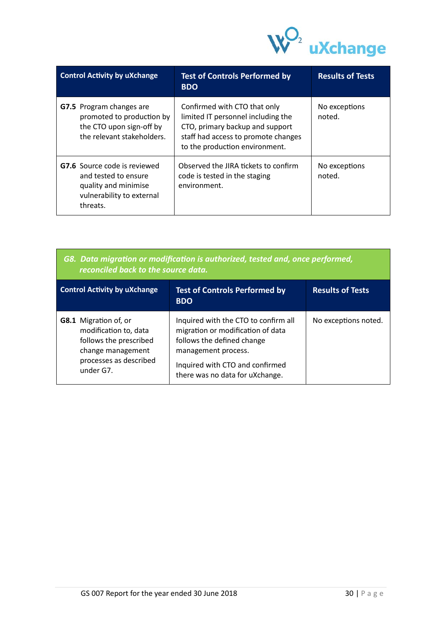

| <b>Control Activity by uXchange</b>                                                                                          | <b>Test of Controls Performed by</b><br><b>BDO</b>                                                                                                                             | <b>Results of Tests</b> |
|------------------------------------------------------------------------------------------------------------------------------|--------------------------------------------------------------------------------------------------------------------------------------------------------------------------------|-------------------------|
| <b>G7.5</b> Program changes are<br>promoted to production by<br>the CTO upon sign-off by<br>the relevant stakeholders.       | Confirmed with CTO that only<br>limited IT personnel including the<br>CTO, primary backup and support<br>staff had access to promote changes<br>to the production environment. | No exceptions<br>noted. |
| <b>G7.6</b> Source code is reviewed<br>and tested to ensure<br>quality and minimise<br>vulnerability to external<br>threats. | Observed the JIRA fickets to confirm<br>code is tested in the staging<br>environment.                                                                                          | No exceptions<br>noted. |

| G8. Data migration or modification is authorized, tested and, once performed,<br>reconciled back to the source data. |                                                                                                         |                         |
|----------------------------------------------------------------------------------------------------------------------|---------------------------------------------------------------------------------------------------------|-------------------------|
| <b>Control Activity by uXchange</b>                                                                                  | <b>Test of Controls Performed by</b><br><b>BDO</b>                                                      | <b>Results of Tests</b> |
| <b>G8.1</b> Migration of, or<br>modification to, data<br>follows the prescribed                                      | Inquired with the CTO to confirm all<br>migration or modification of data<br>follows the defined change | No exceptions noted.    |

| follows the prescribed              | follows the defined change                                         |
|-------------------------------------|--------------------------------------------------------------------|
| change management                   | management process.                                                |
| processes as described<br>under G7. | Inquired with CTO and confirmed<br>there was no data for uXchange. |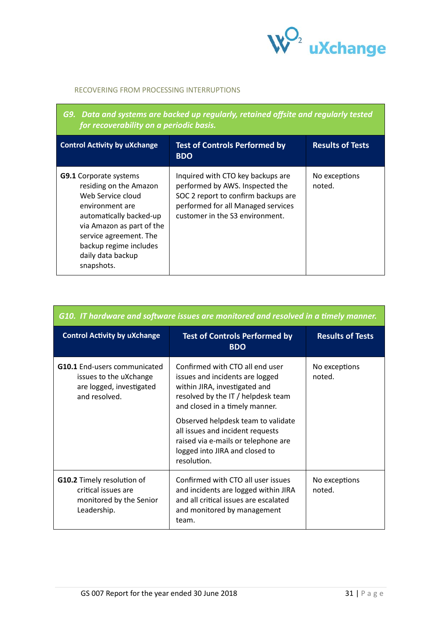

#### RECOVERING FROM PROCESSING INTERRUPTIONS

| G9. Data and systems are backed up regularly, retained offsite and regularly tested<br>for recoverability on a periodic basis.                                                                                                                 |                                                                                                                                                                                      |                         |
|------------------------------------------------------------------------------------------------------------------------------------------------------------------------------------------------------------------------------------------------|--------------------------------------------------------------------------------------------------------------------------------------------------------------------------------------|-------------------------|
| <b>Control Activity by uXchange</b>                                                                                                                                                                                                            | <b>Test of Controls Performed by</b><br><b>BDO</b>                                                                                                                                   | <b>Results of Tests</b> |
| <b>G9.1</b> Corporate systems<br>residing on the Amazon<br>Web Service cloud<br>environment are<br>automatically backed-up<br>via Amazon as part of the<br>service agreement. The<br>backup regime includes<br>daily data backup<br>snapshots. | Inquired with CTO key backups are<br>performed by AWS. Inspected the<br>SOC 2 report to confirm backups are<br>performed for all Managed services<br>customer in the S3 environment. | No exceptions<br>noted. |

| G10. IT hardware and software issues are monitored and resolved in a timely manner.                        |                                                                                                                                                                                                                                                                                                                                               |                         |
|------------------------------------------------------------------------------------------------------------|-----------------------------------------------------------------------------------------------------------------------------------------------------------------------------------------------------------------------------------------------------------------------------------------------------------------------------------------------|-------------------------|
| <b>Control Activity by uXchange</b>                                                                        | <b>Test of Controls Performed by</b><br><b>BDO</b>                                                                                                                                                                                                                                                                                            | <b>Results of Tests</b> |
| <b>G10.1</b> End-users communicated<br>issues to the uXchange<br>are logged, investigated<br>and resolved. | Confirmed with CTO all end user<br>issues and incidents are logged<br>within JIRA, investigated and<br>resolved by the IT / helpdesk team<br>and closed in a timely manner.<br>Observed helpdesk team to validate<br>all issues and incident requests<br>raised via e-mails or telephone are<br>logged into JIRA and closed to<br>resolution. | No exceptions<br>noted. |
| <b>G10.2</b> Timely resolution of<br>critical issues are<br>monitored by the Senior<br>Leadership.         | Confirmed with CTO all user issues<br>and incidents are logged within JIRA<br>and all critical issues are escalated<br>and monitored by management<br>team.                                                                                                                                                                                   | No exceptions<br>noted. |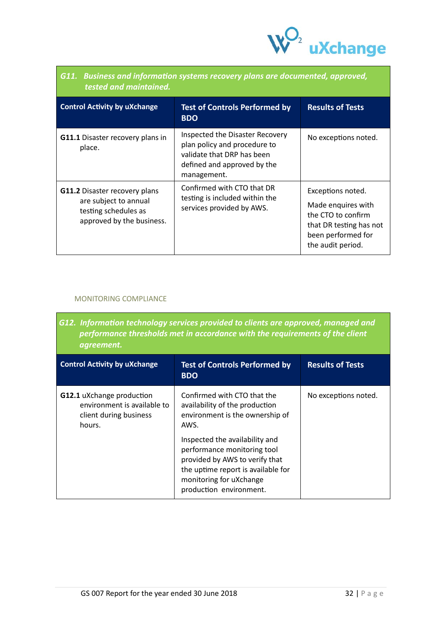

| ulli – Dasničss and information systems recovery pians are aocumented, approved,<br>tested and maintained.         |                                                                                                                                             |                                                                                                                                     |
|--------------------------------------------------------------------------------------------------------------------|---------------------------------------------------------------------------------------------------------------------------------------------|-------------------------------------------------------------------------------------------------------------------------------------|
| <b>Control Activity by uXchange</b>                                                                                | <b>Test of Controls Performed by</b><br><b>BDO</b>                                                                                          | <b>Results of Tests</b>                                                                                                             |
| <b>G11.1</b> Disaster recovery plans in<br>place.                                                                  | Inspected the Disaster Recovery<br>plan policy and procedure to<br>validate that DRP has been<br>defined and approved by the<br>management. | No exceptions noted.                                                                                                                |
| <b>G11.2</b> Disaster recovery plans<br>are subject to annual<br>testing schedules as<br>approved by the business. | Confirmed with CTO that DR<br>testing is included within the<br>services provided by AWS.                                                   | Exceptions noted.<br>Made enquires with<br>the CTO to confirm<br>that DR testing has not<br>been performed for<br>the audit period. |

# *G11. Business and information systems recovery plans are documented, approved,*

## MONITORING COMPLIANCE

*G12. Information technology services provided to clients are approved, managed and performance thresholds met in accordance with the requirements of the client agreement.*

| <b>Control Activity by uXchange</b>                                                                 | <b>Test of Controls Performed by</b><br><b>BDO</b>                                                                                                                                          | <b>Results of Tests</b> |
|-----------------------------------------------------------------------------------------------------|---------------------------------------------------------------------------------------------------------------------------------------------------------------------------------------------|-------------------------|
| <b>G12.1</b> uXchange production<br>environment is available to<br>client during business<br>hours. | Confirmed with CTO that the<br>availability of the production<br>environment is the ownership of<br>AWS.                                                                                    | No exceptions noted.    |
|                                                                                                     | Inspected the availability and<br>performance monitoring tool<br>provided by AWS to verify that<br>the uptime report is available for<br>monitoring for uXchange<br>production environment. |                         |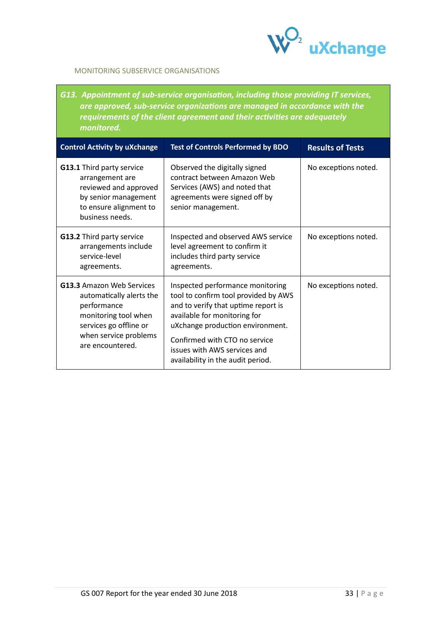

## MONITORING SUBSERVICE ORGANISATIONS

*G13. Appointment of sub-service organisation, including those providing IT services, are approved, sub-service organizations are managed in accordance with the requirements of the client agreement and their activities are adequately monitored.*

| <b>Control Activity by uXchange</b>                                                                                                                                        | <b>Test of Controls Performed by BDO</b>                                                                                                                                                                                                                                                  | <b>Results of Tests</b> |
|----------------------------------------------------------------------------------------------------------------------------------------------------------------------------|-------------------------------------------------------------------------------------------------------------------------------------------------------------------------------------------------------------------------------------------------------------------------------------------|-------------------------|
| <b>G13.1</b> Third party service<br>arrangement are<br>reviewed and approved<br>by senior management<br>to ensure alignment to<br>business needs.                          | Observed the digitally signed<br>contract between Amazon Web<br>Services (AWS) and noted that<br>agreements were signed off by<br>senior management.                                                                                                                                      | No exceptions noted.    |
| G13.2 Third party service<br>arrangements include<br>service-level<br>agreements.                                                                                          | Inspected and observed AWS service<br>level agreement to confirm it<br>includes third party service<br>agreements.                                                                                                                                                                        | No exceptions noted.    |
| <b>G13.3 Amazon Web Services</b><br>automatically alerts the<br>performance<br>monitoring tool when<br>services go offline or<br>when service problems<br>are encountered. | Inspected performance monitoring<br>tool to confirm tool provided by AWS<br>and to verify that uptime report is<br>available for monitoring for<br>uXchange production environment.<br>Confirmed with CTO no service<br>issues with AWS services and<br>availability in the audit period. | No exceptions noted.    |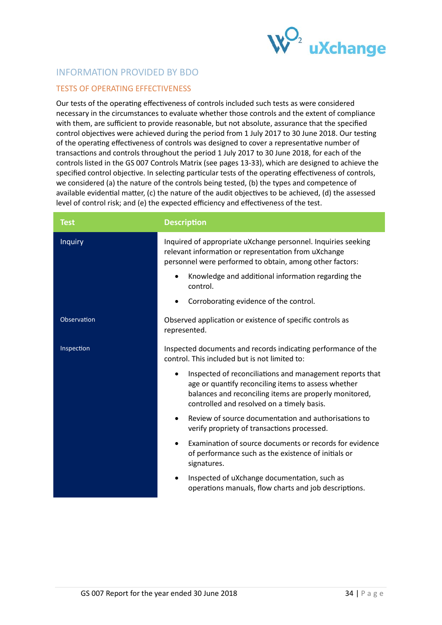

# <span id="page-33-0"></span>INFORMATION PROVIDED BY BDO

## <span id="page-33-1"></span>TESTS OF OPERATING EFFECTIVENESS

Our tests of the operating effectiveness of controls included such tests as were considered necessary in the circumstances to evaluate whether those controls and the extent of compliance with them, are sufficient to provide reasonable, but not absolute, assurance that the specified control objectives were achieved during the period from 1 July 2017 to 30 June 2018. Our testing of the operating effectiveness of controls was designed to cover a representative number of transactions and controls throughout the period 1 July 2017 to 30 June 2018, for each of the controls listed in the GS 007 Controls Matrix (see pages 13-33), which are designed to achieve the specified control objective. In selecting particular tests of the operating effectiveness of controls, we considered (a) the nature of the controls being tested, (b) the types and competence of available evidential matter, (c) the nature of the audit objectives to be achieved, (d) the assessed level of control risk; and (e) the expected efficiency and effectiveness of the test.

| <b>Test</b>    | <b>Description</b>                                                                                                                                                                                                      |
|----------------|-------------------------------------------------------------------------------------------------------------------------------------------------------------------------------------------------------------------------|
| <b>Inquiry</b> | Inquired of appropriate uXchange personnel. Inquiries seeking<br>relevant information or representation from uXchange<br>personnel were performed to obtain, among other factors:                                       |
|                | Knowledge and additional information regarding the<br>control.                                                                                                                                                          |
|                | Corroborating evidence of the control.<br>$\bullet$                                                                                                                                                                     |
| Observation    | Observed application or existence of specific controls as<br>represented.                                                                                                                                               |
| Inspection     | Inspected documents and records indicating performance of the<br>control. This included but is not limited to:                                                                                                          |
|                | Inspected of reconciliations and management reports that<br>age or quantify reconciling items to assess whether<br>balances and reconciling items are properly monitored,<br>controlled and resolved on a timely basis. |
|                | Review of source documentation and authorisations to<br>$\bullet$<br>verify propriety of transactions processed.                                                                                                        |
|                | Examination of source documents or records for evidence<br>$\bullet$<br>of performance such as the existence of initials or<br>signatures.                                                                              |
|                | Inspected of uXchange documentation, such as<br>operations manuals, flow charts and job descriptions.                                                                                                                   |